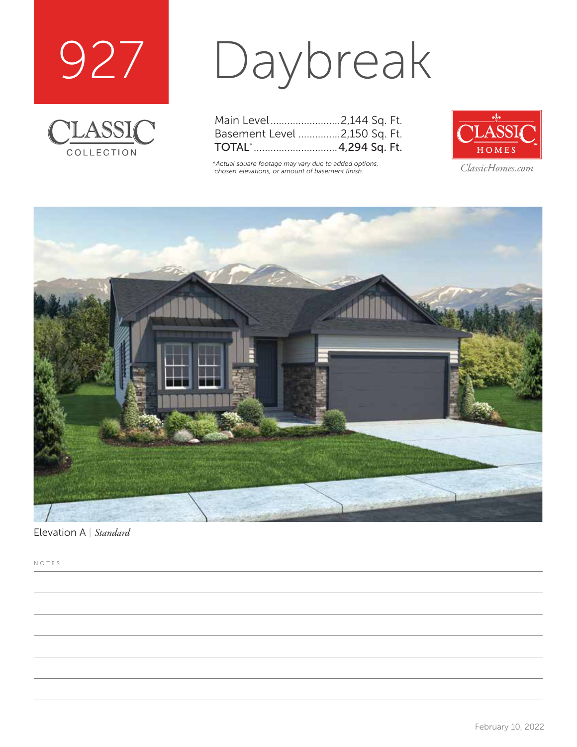



# Daybreak

| Main Level2,144 Sq. Ft.      |  |  |
|------------------------------|--|--|
| Basement Level 2,150 Sq. Ft. |  |  |
|                              |  |  |

*\*Actual square footage may vary due to added options, chosen elevations, or amount of basement finish. ClassicHomes.com*





Elevation A | *Standard*

NOTES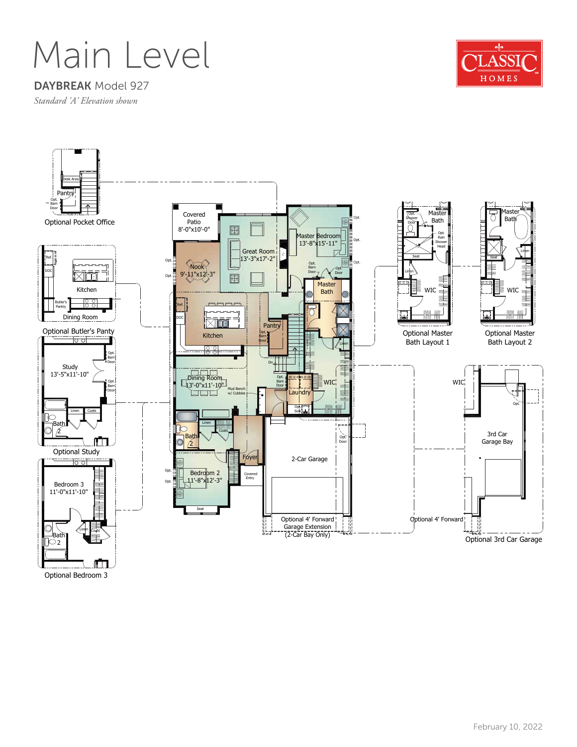### Main Level

#### $\frac{d}{2}$ ASSI HOMES

DAYBREAK Model 927

*Standard 'A' Elevation shown*



Optional Bedroom 3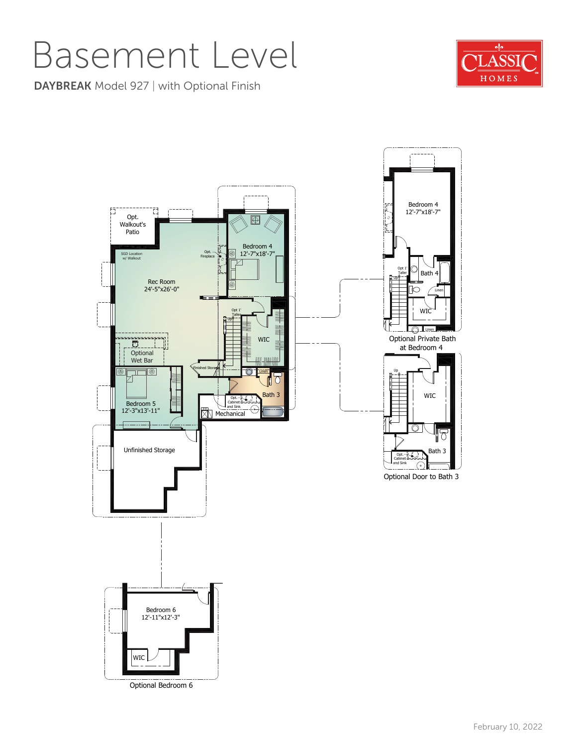### Basement Level

 $\frac{d}{2}$ ASSI HOMES

DAYBREAK Model 927 | with Optional Finish